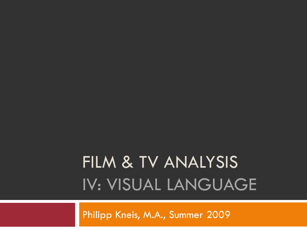# FILM & TV ANALYSIS IV: VISUAL LANGUAGE

Philipp Kneis, M.A., Summer 2009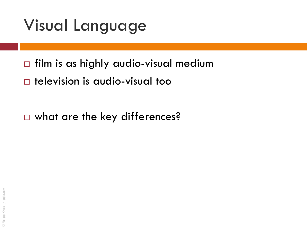- $\Box$  film is as highly audio-visual medium
- television is audio-visual too

□ what are the key differences?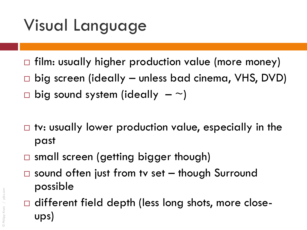- $\Box$  film: usually higher production value (more money)
- □ big screen (ideally unless bad cinema, VHS, DVD)
- $\Box$  big sound system (ideally  $-\sim$ )
- $\Box$  tv: usually lower production value, especially in the past
- □ small screen (getting bigger though)
- $\Box$  sound often just from tv set  $-$  though Surround possible
- $\Box$  different field depth (less long shots, more closeups)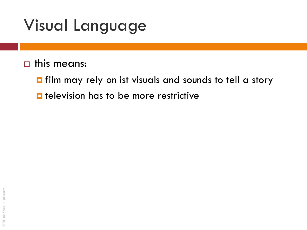- $\Box$  this means:
	- Film may rely on ist visuals and sounds to tell a story  $\blacksquare$  television has to be more restrictive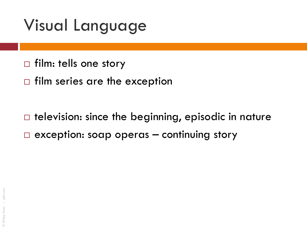- $\Box$  film: tells one story
- $\Box$  film series are the exception

 $\Box$  television: since the beginning, episodic in nature  $\Box$  exception: soap operas – continuing story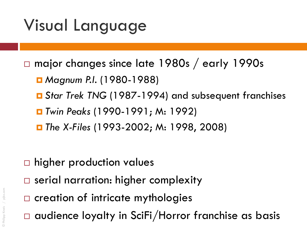- major changes since late 1980s / early 1990s
	- Magnum P.I. (1980-1988)
	- *Star Trek TNG* (1987-1994) and subsequent franchises
	- *Twin Peaks* (1990-1991; M: 1992)
	- *The X-Files* (1993-2002; M: 1998, 2008)

- $\Box$  higher production values
- □ serial narration: higher complexity
- $\square$  creation of intricate mythologies
- audience loyalty in SciFi/Horror franchise as basis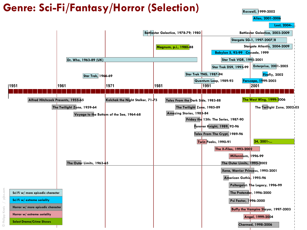### **Genre: Sci-Fi/Fantasy/Horror (Selection)**

**Roswell, 1999-2002**

**Alias, 2001-2006**

**Lost, 2004-…**

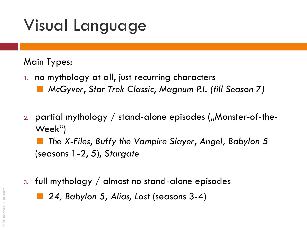#### Main Types:

- 1. no mythology at all, just recurring characters
	- *McGyver*, *Star Trek Classic*, *Magnum P.I. (till Season 7)*
- 2. partial mythology  $/$  stand-alone episodes ("Monster-of-the-Week")

 *The X-Files*, *Buffy the Vampire Slayer*, *Angel, Babylon 5*  (seasons 1-2, 5), *Stargate*

3. full mythology / almost no stand-alone episodes

*24, Babylon 5, Alias, Lost* (seasons 3-4)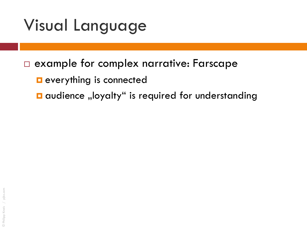### example for complex narrative: Farscape

- **E** everything is connected
- $\blacksquare$  audience "loyalty" is required for understanding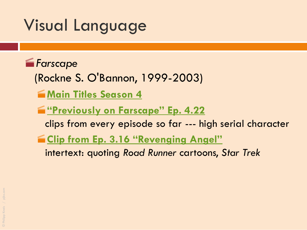

- (Rockne S. O'Bannon, 1999-2003)
- **[Main Titles Season 4](http://www.youtube.com/watch?v=1sdZVqapWa0)**
- **["Previously on Farscape" Ep. 4.22](http://www.youtube.com/watch?v=frr-5V938bg)** 
	- clips from every episode so far --- high serial character
- **English [Clip from Ep. 3.16 "Revenging Angel"](http://www.youtube.com/watch?v=bMByfozpl-M)** 
	- intertext: quoting *Road Runner* cartoons, *Star Trek*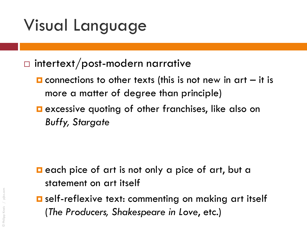### $\Box$  intertext/post-modern narrative

- $\blacksquare$  connections to other texts (this is not new in art  $-$  it is more a matter of degree than principle)
- **E** excessive quoting of other franchises, like also on *Buffy, Stargate*

- $\blacksquare$  each pice of art is not only a pice of art, but a statement on art itself
- **<u>E</u>** self-reflexive text: commenting on making art itself (*The Producers, Shakespeare in Love*, etc.)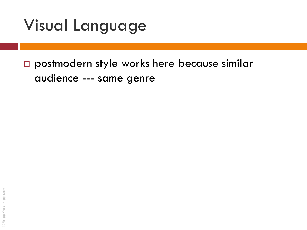postmodern style works here because similar audience --- same genre